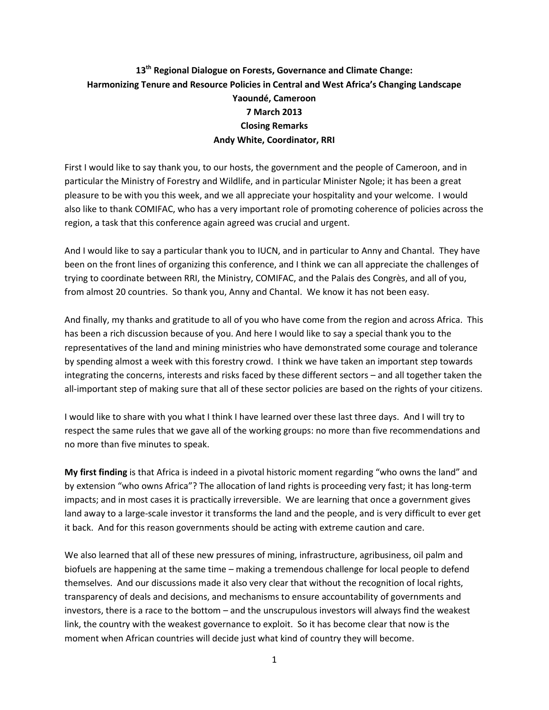## **13th Regional Dialogue on Forests, Governance and Climate Change: Harmonizing Tenure and Resource Policies in Central and West Africa's Changing Landscape Yaoundé, Cameroon 7 March 2013 Closing Remarks Andy White, Coordinator, RRI**

First I would like to say thank you, to our hosts, the government and the people of Cameroon, and in particular the Ministry of Forestry and Wildlife, and in particular Minister Ngole; it has been a great pleasure to be with you this week, and we all appreciate your hospitality and your welcome. I would also like to thank COMIFAC, who has a very important role of promoting coherence of policies across the region, a task that this conference again agreed was crucial and urgent.

And I would like to say a particular thank you to IUCN, and in particular to Anny and Chantal. They have been on the front lines of organizing this conference, and I think we can all appreciate the challenges of trying to coordinate between RRI, the Ministry, COMIFAC, and the Palais des Congrès, and all of you, from almost 20 countries. So thank you, Anny and Chantal. We know it has not been easy.

And finally, my thanks and gratitude to all of you who have come from the region and across Africa. This has been a rich discussion because of you. And here I would like to say a special thank you to the representatives of the land and mining ministries who have demonstrated some courage and tolerance by spending almost a week with this forestry crowd. I think we have taken an important step towards integrating the concerns, interests and risks faced by these different sectors – and all together taken the all-important step of making sure that all of these sector policies are based on the rights of your citizens.

I would like to share with you what I think I have learned over these last three days. And I will try to respect the same rules that we gave all of the working groups: no more than five recommendations and no more than five minutes to speak.

**My first finding** is that Africa is indeed in a pivotal historic moment regarding "who owns the land" and by extension "who owns Africa"? The allocation of land rights is proceeding very fast; it has long-term impacts; and in most cases it is practically irreversible. We are learning that once a government gives land away to a large-scale investor it transforms the land and the people, and is very difficult to ever get it back. And for this reason governments should be acting with extreme caution and care.

We also learned that all of these new pressures of mining, infrastructure, agribusiness, oil palm and biofuels are happening at the same time – making a tremendous challenge for local people to defend themselves. And our discussions made it also very clear that without the recognition of local rights, transparency of deals and decisions, and mechanisms to ensure accountability of governments and investors, there is a race to the bottom – and the unscrupulous investors will always find the weakest link, the country with the weakest governance to exploit. So it has become clear that now is the moment when African countries will decide just what kind of country they will become.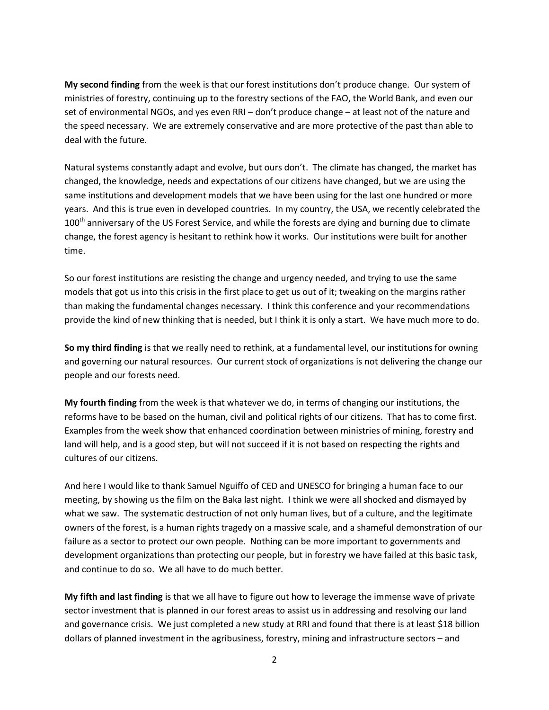**My second finding** from the week is that our forest institutions don't produce change. Our system of ministries of forestry, continuing up to the forestry sections of the FAO, the World Bank, and even our set of environmental NGOs, and yes even RRI – don't produce change – at least not of the nature and the speed necessary. We are extremely conservative and are more protective of the past than able to deal with the future.

Natural systems constantly adapt and evolve, but ours don't. The climate has changed, the market has changed, the knowledge, needs and expectations of our citizens have changed, but we are using the same institutions and development models that we have been using for the last one hundred or more years. And this is true even in developed countries. In my country, the USA, we recently celebrated the  $100<sup>th</sup>$  anniversary of the US Forest Service, and while the forests are dying and burning due to climate change, the forest agency is hesitant to rethink how it works. Our institutions were built for another time.

So our forest institutions are resisting the change and urgency needed, and trying to use the same models that got us into this crisis in the first place to get us out of it; tweaking on the margins rather than making the fundamental changes necessary. I think this conference and your recommendations provide the kind of new thinking that is needed, but I think it is only a start. We have much more to do.

**So my third finding** is that we really need to rethink, at a fundamental level, our institutions for owning and governing our natural resources. Our current stock of organizations is not delivering the change our people and our forests need.

**My fourth finding** from the week is that whatever we do, in terms of changing our institutions, the reforms have to be based on the human, civil and political rights of our citizens. That has to come first. Examples from the week show that enhanced coordination between ministries of mining, forestry and land will help, and is a good step, but will not succeed if it is not based on respecting the rights and cultures of our citizens.

And here I would like to thank Samuel Nguiffo of CED and UNESCO for bringing a human face to our meeting, by showing us the film on the Baka last night. I think we were all shocked and dismayed by what we saw. The systematic destruction of not only human lives, but of a culture, and the legitimate owners of the forest, is a human rights tragedy on a massive scale, and a shameful demonstration of our failure as a sector to protect our own people. Nothing can be more important to governments and development organizations than protecting our people, but in forestry we have failed at this basic task, and continue to do so. We all have to do much better.

**My fifth and last finding** is that we all have to figure out how to leverage the immense wave of private sector investment that is planned in our forest areas to assist us in addressing and resolving our land and governance crisis. We just completed a new study at RRI and found that there is at least \$18 billion dollars of planned investment in the agribusiness, forestry, mining and infrastructure sectors – and